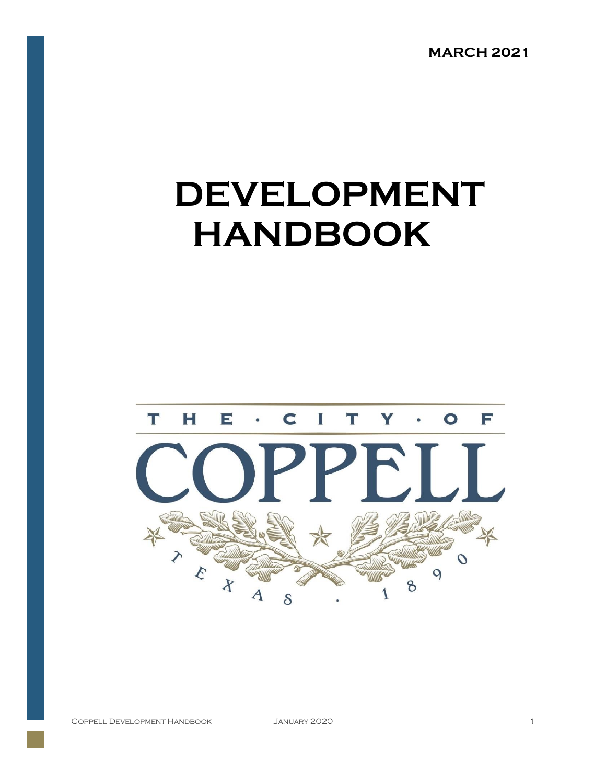**MARCH 2021** 

# **DEVELOPMENT HANDBOOK**

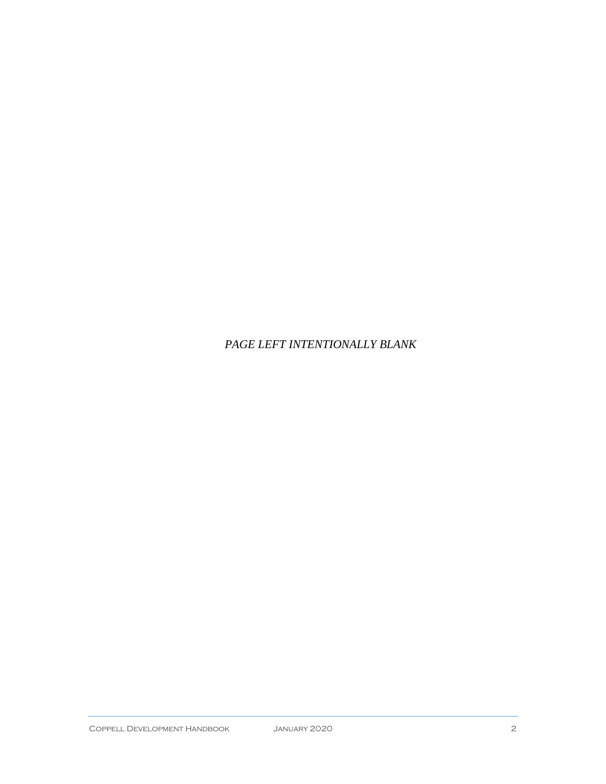*PAGE LEFT INTENTIONALLY BLANK*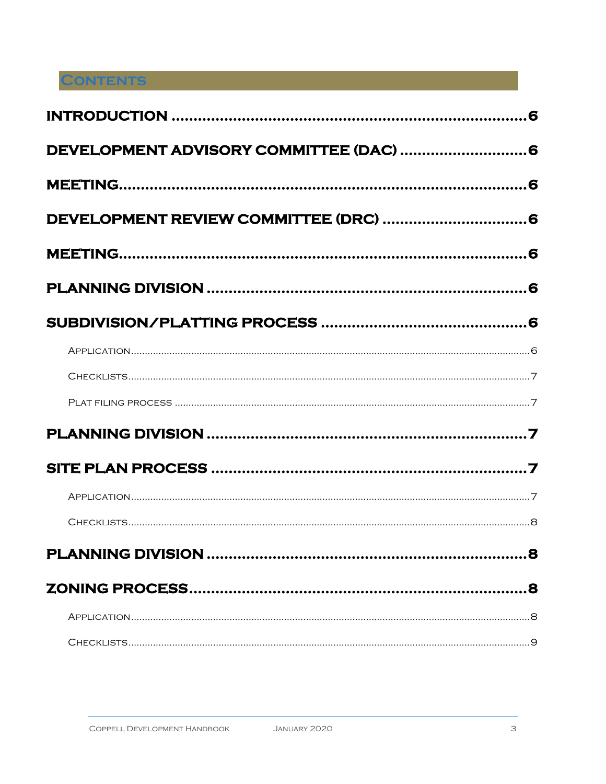## **CONTENTS**

| <b>PLANNING DIVISION </b> | 8. |
|---------------------------|----|
|                           |    |
|                           |    |
|                           |    |
|                           |    |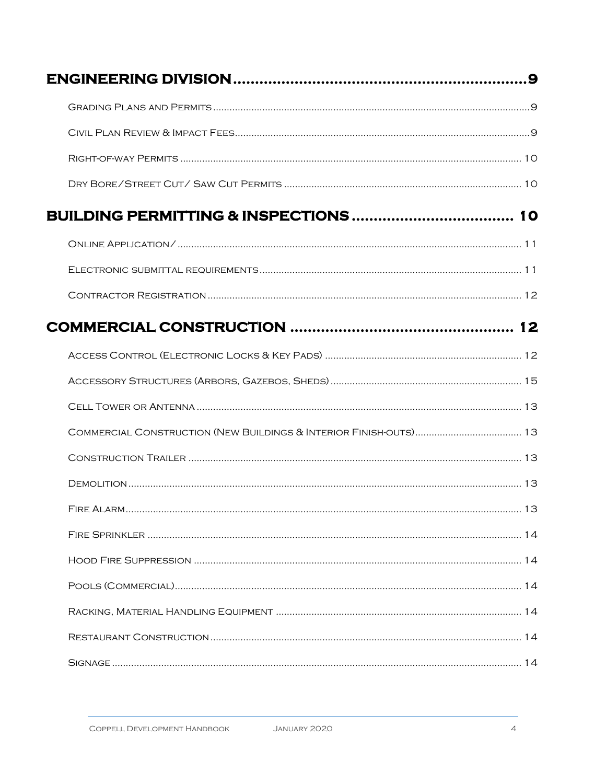| FIRE ALARM |  |
|------------|--|
|            |  |
|            |  |
|            |  |
|            |  |
|            |  |
|            |  |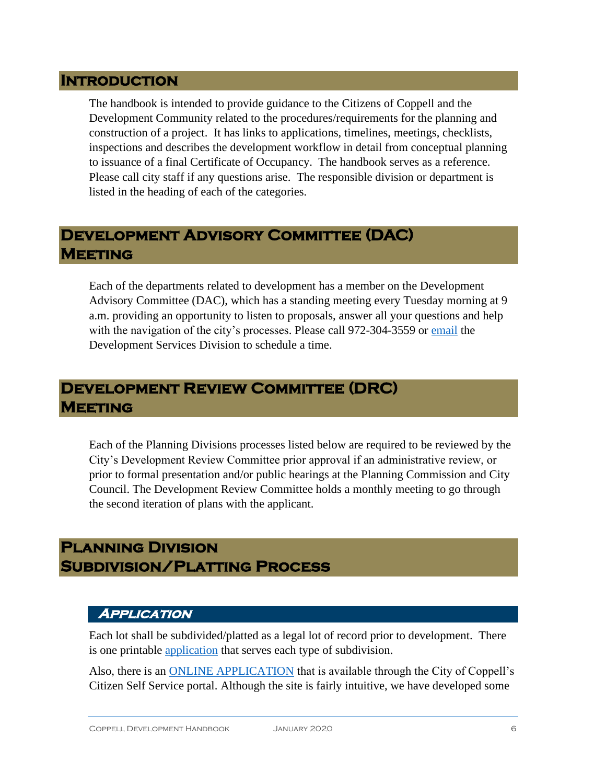#### <span id="page-5-0"></span>**Introduction**

The handbook is intended to provide guidance to the Citizens of Coppell and the Development Community related to the procedures/requirements for the planning and construction of a project. It has links to applications, timelines, meetings, checklists, inspections and describes the development workflow in detail from conceptual planning to issuance of a final Certificate of Occupancy. The handbook serves as a reference. Please call city staff if any questions arise. The responsible division or department is listed in the heading of each of the categories.

# <span id="page-5-2"></span><span id="page-5-1"></span>**Development Advisory Committee (DAC) Meeting**

Each of the departments related to development has a member on the Development Advisory Committee (DAC), which has a standing meeting every Tuesday morning at 9 a.m. providing an opportunity to listen to proposals, answer all your questions and help with the navigation of the city's processes. Please call 972-304-3559 or [email](mailto:devservices@coppelltx.gov) the Development Services Division to schedule a time.

# <span id="page-5-4"></span><span id="page-5-3"></span>**Development Review Committee (DRC) Meeting**

Each of the Planning Divisions processes listed below are required to be reviewed by the City's Development Review Committee prior approval if an administrative review, or prior to formal presentation and/or public hearings at the Planning Commission and City Council. The Development Review Committee holds a monthly meeting to go through the second iteration of plans with the applicant.

# <span id="page-5-6"></span><span id="page-5-5"></span>**Planning Division Subdivision/Platting Process**

## <span id="page-5-7"></span>**Application**

Each lot shall be subdivided/platted as a legal lot of record prior to development. There is one printable [application](https://www.coppelltx.gov/DocumentCenter/View/556/Subdivision-Application-PDF) that serves each type of subdivision.

Also, there is an [ONLINE APPLICATION](https://energovcss.coppelltx.gov/EnerGovProd/SelfService#/home) that is available through the City of Coppell's Citizen Self Service portal. Although the site is fairly intuitive, we have developed some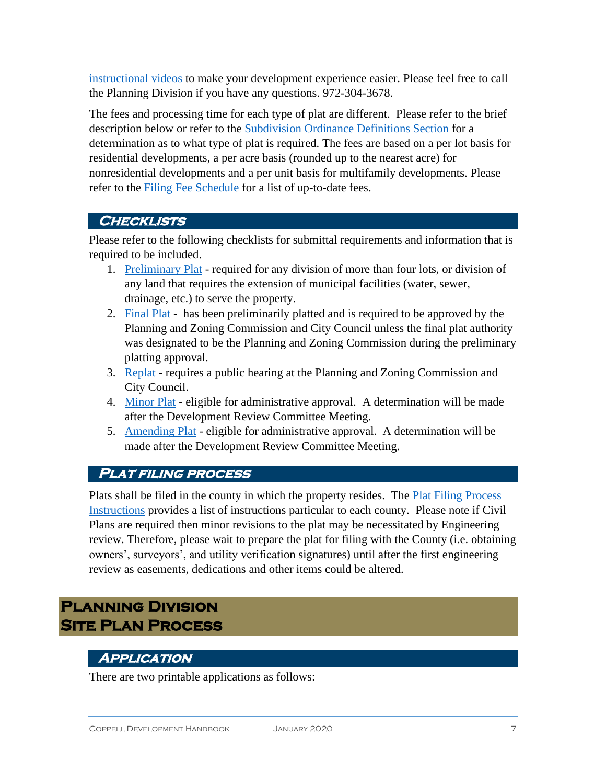[instructional](https://www.coppelltx.gov/228/Citizen-Self-Service-CSS-Brochures-Video) videos to make your development experience easier. Please feel free to call the Planning Division if you have any questions. 972-304-3678.

The fees and processing time for each type of plat are different. Please refer to the brief description below or refer to the [Subdivision Ordinance Definitions Section](https://library.municode.com/tx/coppell/codes/code_of_ordinances?nodeId=CO_CH13SU_ART13-4DE_S13-4-3DE) for a determination as to what type of plat is required. The fees are based on a per lot basis for residential developments, a per acre basis (rounded up to the nearest acre) for nonresidential developments and a per unit basis for multifamily developments. Please refer to the [Filing Fee Schedule](https://www.coppelltx.gov/DocumentCenter/View/549/Filing-Fee-Schedule-PDF) for a list of up-to-date fees.

#### <span id="page-6-0"></span>**Checklists**

Please refer to the following checklists for submittal requirements and information that is required to be included.

- 1. [Preliminary Plat](https://www.coppelltx.gov/DocumentCenter/View/1847/Preliminary-Plat-Checklist) required for any division of more than four lots, or division of any land that requires the extension of municipal facilities (water, sewer, drainage, etc.) to serve the property.
- 2. [Final Plat](https://www.coppelltx.gov/DocumentCenter/View/1840/Final-Plat-Checklist) has been preliminarily platted and is required to be approved by the Planning and Zoning Commission and City Council unless the final plat authority was designated to be the Planning and Zoning Commission during the preliminary platting approval.
- 3. [Replat](https://www.coppelltx.gov/DocumentCenter/View/1848/Replat-Checklist) requires a public hearing at the Planning and Zoning Commission and City Council.
- 4. [Minor Plat](https://www.coppelltx.gov/DocumentCenter/View/1842/Minor-Site-Plan-PD-SUP-Amendment-Administrative-Checklist) eligible for administrative approval. A determination will be made after the Development Review Committee Meeting.
- 5. [Amending Plat](https://www.coppelltx.gov/DocumentCenter/View/1842/Minor-Site-Plan-PD-SUP-Amendment-Administrative-Checklist) eligible for administrative approval. A determination will be made after the Development Review Committee Meeting.

## <span id="page-6-1"></span>**Plat filing process**

Plats shall be filed in the county in which the property resides. The [Plat Filing Process](https://www.coppelltx.gov/DocumentCenter/View/544/Plat-Filing-Process-PDF)  [Instructions](https://www.coppelltx.gov/DocumentCenter/View/544/Plat-Filing-Process-PDF) provides a list of instructions particular to each county. Please note if Civil Plans are required then minor revisions to the plat may be necessitated by Engineering review. Therefore, please wait to prepare the plat for filing with the County (i.e. obtaining owners', surveyors', and utility verification signatures) until after the first engineering review as easements, dedications and other items could be altered.

# <span id="page-6-3"></span><span id="page-6-2"></span>**Planning Division Site Plan Process**

## <span id="page-6-4"></span>**Application**

There are two printable applications as follows: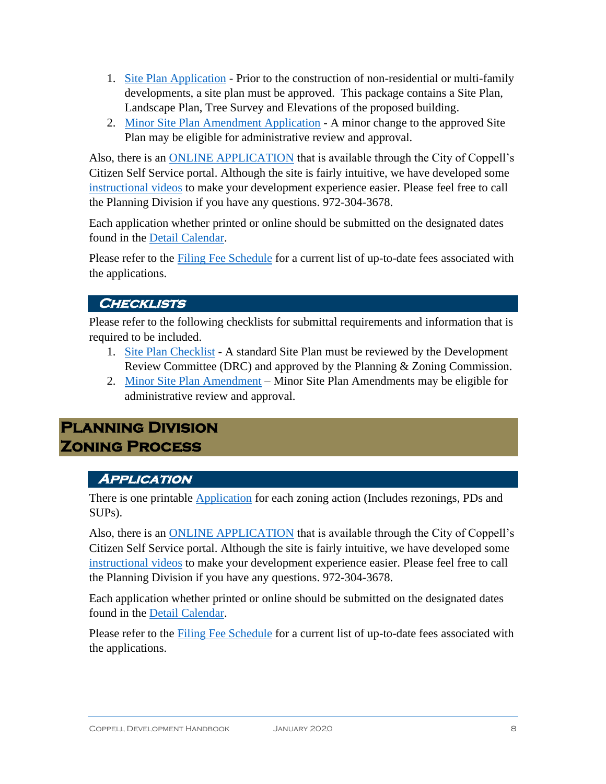- 1. [Site Plan Application](https://www.coppelltx.gov/DocumentCenter/View/540/Site-Plan-Application-PDF) Prior to the construction of non-residential or multi-family developments, a site plan must be approved. This package contains a Site Plan, Landscape Plan, Tree Survey and Elevations of the proposed building.
- 2. [Minor Site Plan Amendment Application](https://www.coppelltx.gov/DocumentCenter/View/566/Minor-Site-Plan-Amendment-Application-PDF) A minor change to the approved Site Plan may be eligible for administrative review and approval.

Also, there is an [ONLINE APPLICATION](https://energovcss.coppelltx.gov/EnerGovProd/SelfService#/home) that is available through the City of Coppell's Citizen Self Service portal. Although the site is fairly intuitive, we have developed some [instructional](http://www.coppelltx.gov/css-videos) videos to make your development experience easier. Please feel free to call the Planning Division if you have any questions. 972-304-3678.

Each application whether printed or online should be submitted on the designated dates found in the [Detail Calendar.](https://www.coppelltx.gov/DocumentCenter/View/1736/2021-Plats-and-Site-Plans-)

Please refer to the [Filing Fee Schedule](https://www.coppelltx.gov/DocumentCenter/View/549/Filing-Fee-Schedule-PDF) for a current list of up-to-date fees associated with the applications.

#### <span id="page-7-0"></span>**Checklists**

Please refer to the following checklists for submittal requirements and information that is required to be included.

- 1. [Site Plan Checklist](https://www.coppelltx.gov/DocumentCenter/View/1839/Site-Plan-Checklist) A standard Site Plan must be reviewed by the Development Review Committee (DRC) and approved by the Planning & Zoning Commission.
- 2. [Minor Site Plan Amendment](https://www.coppelltx.gov/DocumentCenter/View/1842/Minor-Site-Plan-PD-SUP-Amendment-Administrative-Checklist) Minor Site Plan Amendments may be eligible for administrative review and approval.

# <span id="page-7-2"></span><span id="page-7-1"></span>**Planning Division Zoning Process**

## <span id="page-7-3"></span>**Application**

There is one printable **[Application](https://www.coppelltx.gov/DocumentCenter/View/555/Zoning-Application-PDF)** for each zoning action (Includes rezonings, PDs and SUPs).

Also, there is an [ONLINE APPLICATION](https://energovcss.coppelltx.gov/EnerGovProd/SelfService#/home) that is available through the City of Coppell's Citizen Self Service portal. Although the site is fairly intuitive, we have developed some [instructional](http://www.coppelltx.gov/css-videos) videos to make your development experience easier. Please feel free to call the Planning Division if you have any questions. 972-304-3678.

Each application whether printed or online should be submitted on the designated dates found in the [Detail Calendar.](https://www.coppelltx.gov/DocumentCenter/View/1735/2021-Zoning-Detail-Submission-Calendar?bidId=)

Please refer to the [Filing Fee Schedule](https://www.coppelltx.gov/DocumentCenter/View/549/Filing-Fee-Schedule-PDF) for a current list of up-to-date fees associated with the applications.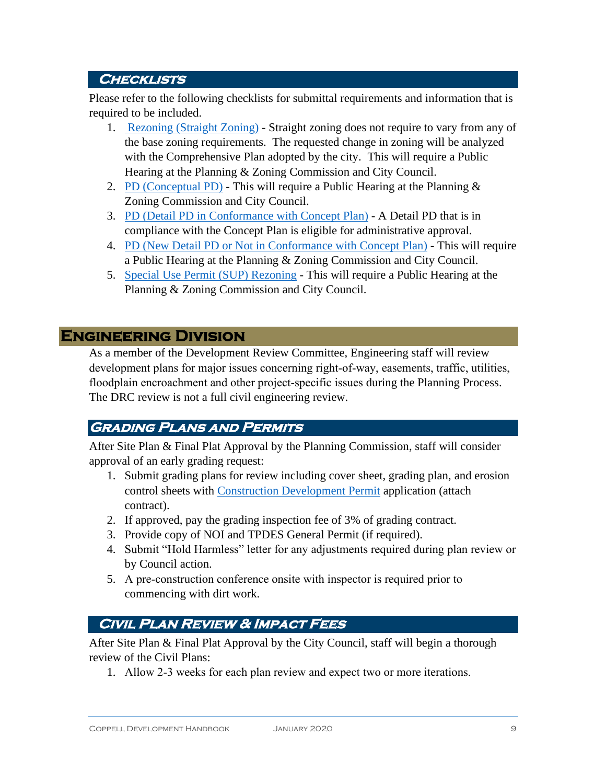#### <span id="page-8-0"></span>**Checklists**

Please refer to the following checklists for submittal requirements and information that is required to be included.

- 1. Rezoning [\(Straight Zoning\)](https://www.coppelltx.gov/DocumentCenter/View/1849/Rezoning-Checklist-straight-zoning) Straight zoning does not require to vary from any of the base zoning requirements. The requested change in zoning will be analyzed with the Comprehensive Plan adopted by the city. This will require a Public Hearing at the Planning & Zoning Commission and City Council.
- 2. [PD \(Conceptual PD\)](https://www.coppelltx.gov/DocumentCenter/View/1844/PD-Checklist-Concept-PD) This will require a Public Hearing at the Planning  $\&$ Zoning Commission and City Council.
- 3. [PD \(Detail PD in Conformance with Concept Plan\)](https://www.coppelltx.gov/DocumentCenter/View/1845/PD-Checklist-In-Conformance-with-Concept-PD) A Detail PD that is in compliance with the Concept Plan is eligible for administrative approval.
- 4. [PD \(New Detail PD or Not in Conformance with Concept Plan\)](https://www.coppelltx.gov/DocumentCenter/View/1846/PD-Checklist-New-or-Not-in-Conformance-with-Concept-PD) This will require a Public Hearing at the Planning & Zoning Commission and City Council.
- 5. [Special Use Permit \(SUP\) Rezoning](https://www.coppelltx.gov/DocumentCenter/View/1850/Rezoning-Checklist-SUP) This will require a Public Hearing at the Planning & Zoning Commission and City Council.

## <span id="page-8-1"></span>**ENGINEERING DIVISION**

As a member of the Development Review Committee, Engineering staff will review development plans for major issues concerning right-of-way, easements, traffic, utilities, floodplain encroachment and other project‐specific issues during the Planning Process. The DRC review is not a full civil engineering review.

## <span id="page-8-2"></span>**Grading Plans and Permits**

After Site Plan & Final Plat Approval by the Planning Commission, staff will consider approval of an early grading request:

- 1. Submit grading plans for review including cover sheet, grading plan, and erosion control sheets with [Construction Development Permit](https://www.coppelltx.gov/DocumentCenter/View/792/Construction-Development-Permit-Application-PDF) application (attach contract).
- 2. If approved, pay the grading inspection fee of 3% of grading contract.
- 3. Provide copy of NOI and TPDES General Permit (if required).
- 4. Submit "Hold Harmless" letter for any adjustments required during plan review or by Council action.
- 5. A pre-construction conference onsite with inspector is required prior to commencing with dirt work.

# <span id="page-8-3"></span>**Civil Plan Review & Impact Fees**

After Site Plan & Final Plat Approval by the City Council, staff will begin a thorough review of the Civil Plans:

1. Allow 2‐3 weeks for each plan review and expect two or more iterations.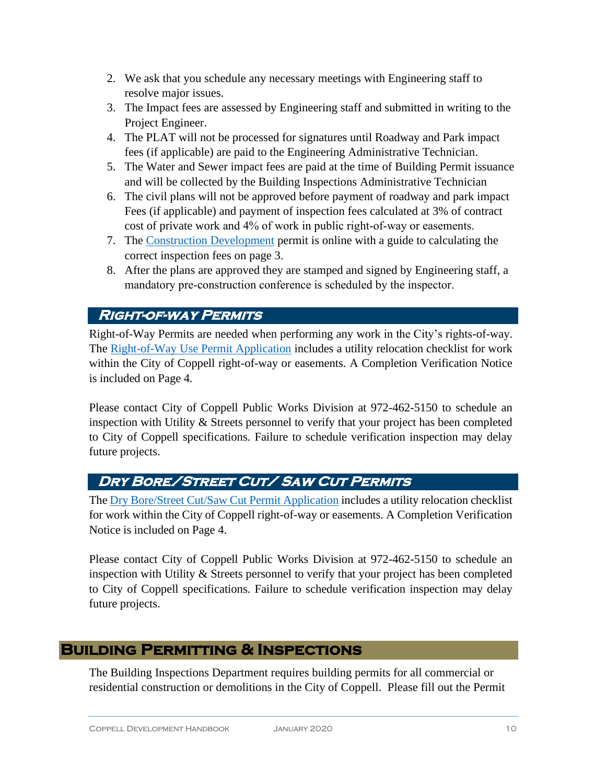- 2. We ask that you schedule any necessary meetings with Engineering staff to resolve major issues.
- 3. The Impact fees are assessed by Engineering staff and submitted in writing to the Project Engineer.
- 4. The PLAT will not be processed for signatures until Roadway and Park impact fees (if applicable) are paid to the Engineering Administrative Technician.
- 5. The Water and Sewer impact fees are paid at the time of Building Permit issuance and will be collected by the Building Inspections Administrative Technician
- 6. The civil plans will not be approved before payment of roadway and park impact Fees (if applicable) and payment of inspection fees calculated at 3% of contract cost of private work and 4% of work in public right‐of‐way or easements.
- 7. The [Construction Development](https://www.coppelltx.gov/DocumentCenter/View/792/Construction-Development-Permit-Application-PDF) permit is online with a guide to calculating the correct inspection fees on page 3.
- 8. After the plans are approved they are stamped and signed by Engineering staff, a mandatory pre‐construction conference is scheduled by the inspector.

## <span id="page-9-0"></span>**Right-of-way Permits**

Right-of-Way Permits are needed when performing any work in the City's rights-of-way. The [Right-of-Way Use Permit Application](https://www.coppelltx.gov/DocumentCenter/View/793/Right-of-Way-Use-Permit-PDF) includes a utility relocation checklist for work within the City of Coppell right-of-way or easements. A Completion Verification Notice is included on Page 4.

Please contact City of Coppell Public Works Division at 972-462-5150 to schedule an inspection with Utility & Streets personnel to verify that your project has been completed to City of Coppell specifications. Failure to schedule verification inspection may delay future projects.

## <span id="page-9-1"></span>**Dry Bore/Street Cut/ Saw Cut Permits**

The [Dry Bore/Street Cut/Saw Cut](https://www.coppelltx.gov/DocumentCenter/View/794/Dry-Bore---Street-Cut---Saw-Cut-Permit-PDF) Permit Application includes a utility relocation checklist for work within the City of Coppell right-of-way or easements. A Completion Verification Notice is included on Page 4.

Please contact City of Coppell Public Works Division at 972-462-5150 to schedule an inspection with Utility & Streets personnel to verify that your project has been completed to City of Coppell specifications. Failure to schedule verification inspection may delay future projects.

## <span id="page-9-2"></span>**Building Permitting & Inspections**

The Building Inspections Department requires building permits for all commercial or residential construction or demolitions in the City of Coppell. Please fill out the Permit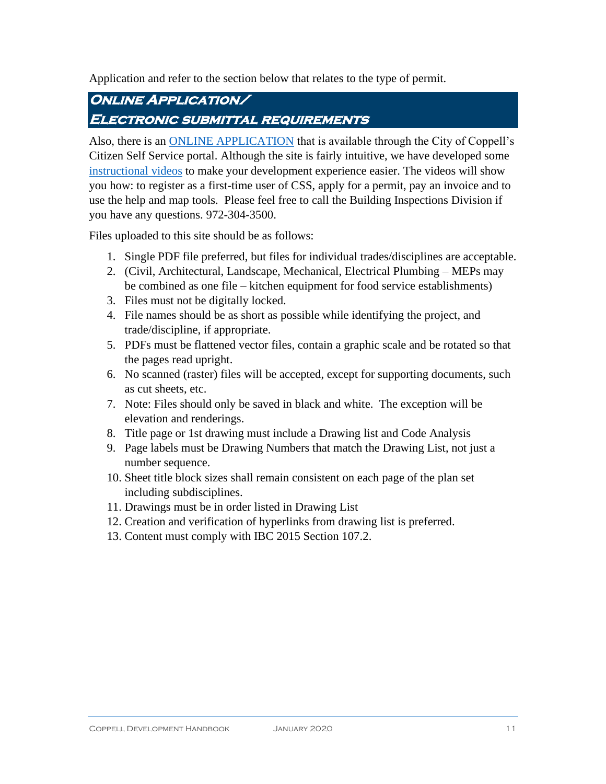Application and refer to the section below that relates to the type of permit.

## <span id="page-10-0"></span>**Online Application/**

## <span id="page-10-1"></span>**Electronic submittal requirements**

Also, there is an [ONLINE APPLICATION](https://energovcss.coppelltx.gov/EnerGovProd/SelfService#/home) that is available through the City of Coppell's Citizen Self Service portal. Although the site is fairly intuitive, we have developed some [instructional](https://www.coppelltx.gov/228/Citizen-Self-Service-CSS-Brochures-Video) videos to make your development experience easier. The videos will show you how: to register as a first-time user of CSS, apply for a permit, pay an invoice and to use the help and map tools. Please feel free to call the Building Inspections Division if you have any questions. 972-304-3500.

Files uploaded to this site should be as follows:

- 1. Single PDF file preferred, but files for individual trades/disciplines are acceptable.
- 2. (Civil, Architectural, Landscape, Mechanical, Electrical Plumbing MEPs may be combined as one file – kitchen equipment for food service establishments)
- 3. Files must not be digitally locked.
- 4. File names should be as short as possible while identifying the project, and trade/discipline, if appropriate.
- 5. PDFs must be flattened vector files, contain a graphic scale and be rotated so that the pages read upright.
- 6. No scanned (raster) files will be accepted, except for supporting documents, such as cut sheets, etc.
- 7. Note: Files should only be saved in black and white. The exception will be elevation and renderings.
- 8. Title page or 1st drawing must include a Drawing list and Code Analysis
- 9. Page labels must be Drawing Numbers that match the Drawing List, not just a number sequence.
- 10. Sheet title block sizes shall remain consistent on each page of the plan set including subdisciplines.
- 11. Drawings must be in order listed in Drawing List
- 12. Creation and verification of hyperlinks from drawing list is preferred.
- 13. Content must comply with IBC 2015 Section 107.2.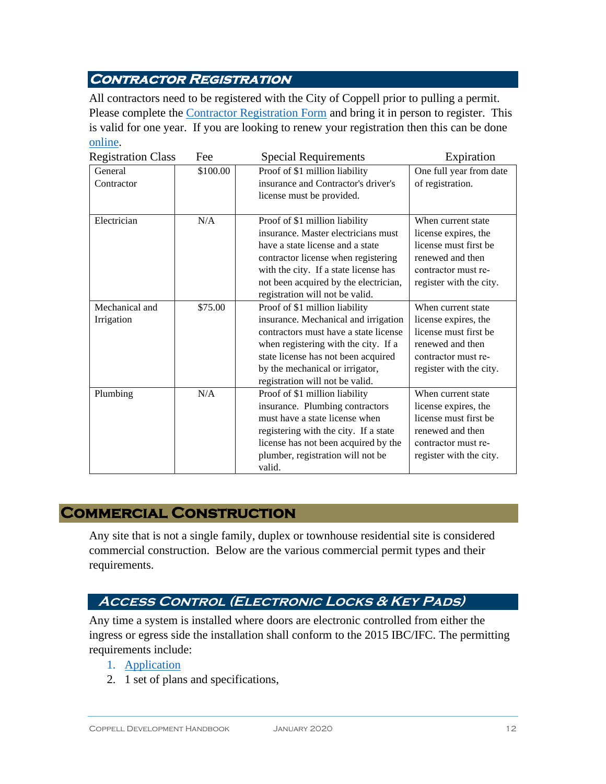# <span id="page-11-0"></span>**Contractor Registration**

All contractors need to be registered with the City of Coppell prior to pulling a permit. Please complete the [Contractor Registration Form](https://www.coppelltx.gov/DocumentCenter/View/317/Contractor-Registration-Form-PDF) and bring it in person to register. This is valid for one year. If you are looking to renew your registration then this can be done [online.](https://energovprodweb.coppelltx.gov/EnerGov_Prod/SelfService#/home)

| <b>Registration Class</b>    | Fee      | <b>Special Requirements</b>                                                                                                                                                                                                                                           | Expiration                                                                                                                                |
|------------------------------|----------|-----------------------------------------------------------------------------------------------------------------------------------------------------------------------------------------------------------------------------------------------------------------------|-------------------------------------------------------------------------------------------------------------------------------------------|
| General<br>Contractor        | \$100.00 | Proof of \$1 million liability<br>insurance and Contractor's driver's<br>license must be provided.                                                                                                                                                                    | One full year from date<br>of registration.                                                                                               |
| Electrician                  | N/A      | Proof of \$1 million liability<br>insurance. Master electricians must<br>have a state license and a state<br>contractor license when registering<br>with the city. If a state license has<br>not been acquired by the electrician,<br>registration will not be valid. | When current state<br>license expires, the<br>license must first be<br>renewed and then<br>contractor must re-<br>register with the city. |
| Mechanical and<br>Irrigation | \$75.00  | Proof of \$1 million liability<br>insurance. Mechanical and irrigation<br>contractors must have a state license<br>when registering with the city. If a<br>state license has not been acquired<br>by the mechanical or irrigator,<br>registration will not be valid.  | When current state<br>license expires, the<br>license must first be<br>renewed and then<br>contractor must re-<br>register with the city. |
| Plumbing                     | N/A      | Proof of \$1 million liability<br>insurance. Plumbing contractors<br>must have a state license when<br>registering with the city. If a state<br>license has not been acquired by the<br>plumber, registration will not be<br>valid.                                   | When current state<br>license expires, the<br>license must first be<br>renewed and then<br>contractor must re-<br>register with the city. |

## <span id="page-11-1"></span>**Commercial Construction**

Any site that is not a single family, duplex or townhouse residential site is considered commercial construction. Below are the various commercial permit types and their requirements.

## <span id="page-11-2"></span>**Access Control (Electronic Locks & Key Pads)**

Any time a system is installed where doors are electronic controlled from either the ingress or egress side the installation shall conform to the 2015 IBC/IFC. The permitting requirements include:

- 1. [Application](https://www.coppelltx.gov/DocumentCenter/View/1367/Access-Control-PDF)
- 2. 1 set of plans and specifications,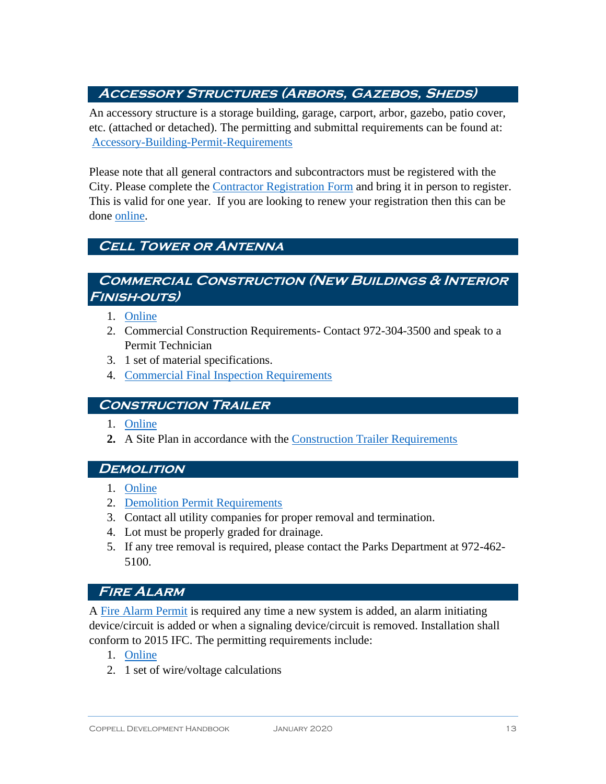## **Accessory Structures (Arbors, Gazebos, Sheds)**

An accessory structure is a storage building, garage, carport, arbor, gazebo, patio cover, etc. (attached or detached). The permitting and submittal requirements can be found at: [Accessory-Building-Permit-Requirements](https://www.coppelltx.gov/DocumentCenter/View/1720/Accessory-Building-Permit-Requirements)

Please note that all general contractors and subcontractors must be registered with the City. Please complete the [Contractor Registration Form](https://www.coppelltx.gov/DocumentCenter/View/317/Contractor-Registration-Form-PDF) and bring it in person to register. This is valid for one year. If you are looking to renew your registration then this can be done [online.](https://energovcss.coppelltx.gov/EnerGovProd/SelfService#/home)

# <span id="page-12-0"></span>**Cell Tower or Antenna**

## <span id="page-12-1"></span>**Commercial Construction (New Buildings & Interior Finish-outs)**

- 1. [Online](https://energovcss.coppelltx.gov/EnerGovProd/SelfService#/home)
- 2. Commercial Construction Requirements- Contact 972-304-3500 and speak to a Permit Technician
- 3. 1 set of material specifications.
- 4. [Commercial Final Inspection Requirements](https://www.coppelltx.gov/DocumentCenter/View/1712/Commercial-Final-Inspection-Requirements)

## <span id="page-12-2"></span>**Construction Trailer**

- 1. [Online](https://energovcss.coppelltx.gov/EnerGovProd/SelfService#/home)
- **2.** A Site Plan in accordance with the [Construction Trailer Requirements](https://www.coppelltx.gov/DocumentCenter/View/1712/Commercial-Final-Inspection-Requirements)

#### <span id="page-12-3"></span>**Demolition**

- 1. [Online](https://energovcss.coppelltx.gov/EnerGovProd/SelfService#/home)
- 2. [Demolition Permit Requirements](https://www.coppelltx.gov/DocumentCenter/View/1549/Demolition-Permit-Requirements-PDF)
- 3. Contact all utility companies for proper removal and termination.
- 4. Lot must be properly graded for drainage.
- 5. If any tree removal is required, please contact the Parks Department at 972-462- 5100.

#### <span id="page-12-4"></span>**Fire Alarm**

A [Fire Alarm Permit](https://www.coppelltx.gov/DocumentCenter/View/1368/Fire-alarm-PDF) is required any time a new system is added, an alarm initiating device/circuit is added or when a signaling device/circuit is removed. Installation shall conform to 2015 IFC. The permitting requirements include:

- 1. [Online](https://energovcss.coppelltx.gov/EnerGovProd/SelfService#/home)
- 2. 1 set of wire/voltage calculations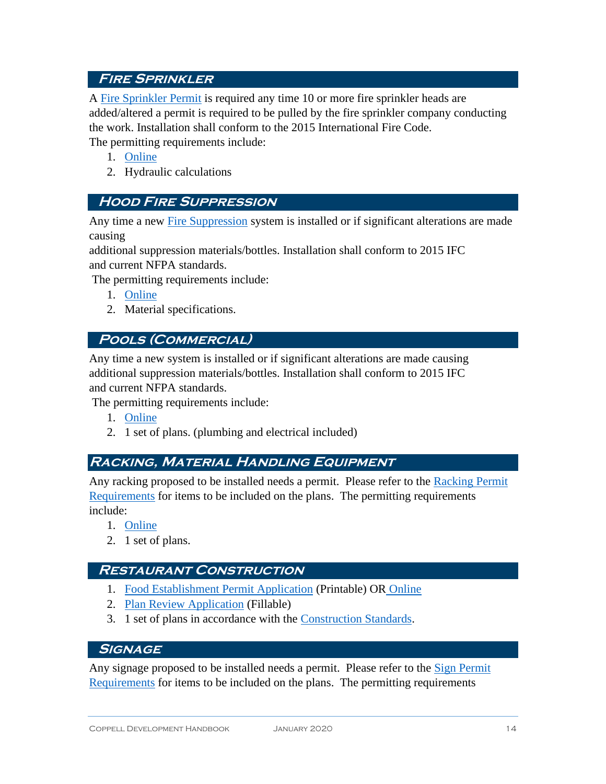## <span id="page-13-0"></span>**Fire Sprinkler**

A [Fire Sprinkler Permit](Fire%20Sprinkler%20(PDF)) is required any time 10 or more fire sprinkler heads are added/altered a permit is required to be pulled by the fire sprinkler company conducting the work. Installation shall conform to the 2015 International Fire Code. The permitting requirements include:

- 1. [Online](https://energovcss.coppelltx.gov/EnerGovProd/SelfService#/home)
- 2. Hydraulic calculations

## <span id="page-13-1"></span>**Hood Fire Suppression**

Any time a new [Fire Suppression](https://www.coppelltx.gov/DocumentCenter/View/1370/Fire-suppression-permit-PDF) system is installed or if significant alterations are made causing

additional suppression materials/bottles. Installation shall conform to 2015 IFC and current NFPA standards.

The permitting requirements include:

- 1. [Online](https://energovcss.coppelltx.gov/EnerGovProd/SelfService#/home)
- 2. Material specifications.

## <span id="page-13-2"></span>**Pools (Commercial)**

Any time a new system is installed or if significant alterations are made causing additional suppression materials/bottles. Installation shall conform to 2015 IFC and current NFPA standards.

The permitting requirements include:

- 1. [Online](https://energovcss.coppelltx.gov/EnerGovProd/SelfService#/home)
- 2. 1 set of plans. (plumbing and electrical included)

## <span id="page-13-3"></span>**Racking, Material Handling Equipment**

Any racking proposed to be installed needs a permit. Please refer to the Racking Permit [Requirements](https://www.coppelltx.gov/DocumentCenter/View/1560/Racking-Permit-Requirements-PDF) for items to be included on the plans. The permitting requirements include:

- 1. [Online](https://energovcss.coppelltx.gov/EnerGovProd/SelfService#/home)
- 2. 1 set of plans.

#### <span id="page-13-4"></span>**Restaurant Construction**

- 1. [Food Establishment Permit Application](https://www.coppelltx.gov/DocumentCenter/View/471/Food-Establishment-Permit-Application-PDF) (Printable) OR [Online](https://energovcss.coppelltx.gov/EnerGovProd/SelfService#/home)
- 2. [Plan Review Application](https://www.coppelltx.gov/DocumentCenter/View/470/Food-Establishment-Plan-Review-Application-PDF) (Fillable)
- 3. 1 set of plans in accordance with the [Construction Standards.](https://www.coppelltx.gov/DocumentCenter/View/473/Construction-Standards-for-Food-Service-Facilities-PDF)

#### <span id="page-13-5"></span>**Signage**

Any signage proposed to be installed needs a permit. Please refer to the Sign Permit [Requirements](https://www.coppelltx.gov/DocumentCenter/View/1563/Signage-Building-Permit-Requirements-PDF) for items to be included on the plans. The permitting requirements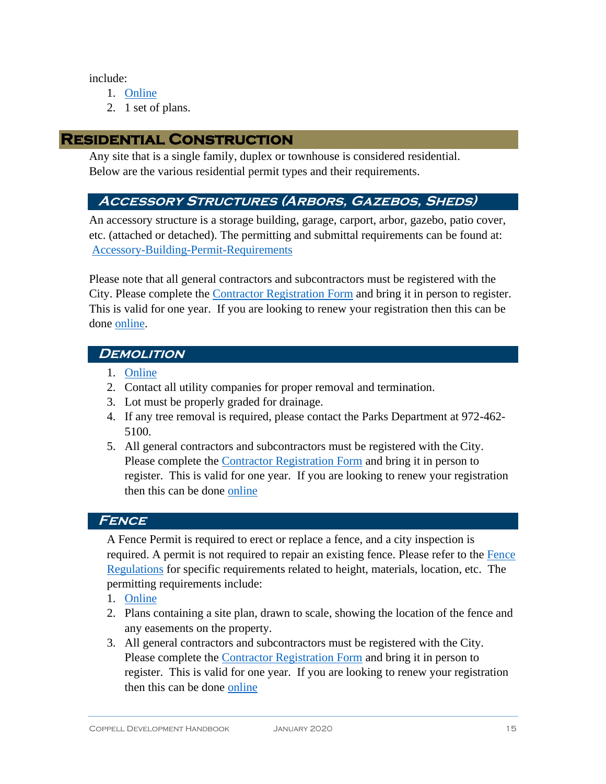include:

- 1. [Online](https://energovcss.coppelltx.gov/EnerGovProd/SelfService#/home)
- 2. 1 set of plans.

#### <span id="page-14-1"></span>**Residential Construction**

Any site that is a single family, duplex or townhouse is considered residential. Below are the various residential permit types and their requirements.

## <span id="page-14-0"></span>**Accessory Structures (Arbors, Gazebos, Sheds)**

An accessory structure is a storage building, garage, carport, arbor, gazebo, patio cover, etc. (attached or detached). The permitting and submittal requirements can be found at: [Accessory-Building-Permit-Requirements](https://www.coppelltx.gov/DocumentCenter/View/1720/Accessory-Building-Permit-Requirements)

Please note that all general contractors and subcontractors must be registered with the City. Please complete the [Contractor Registration Form](https://www.coppelltx.gov/DocumentCenter/View/317/Contractor-Registration-Form-PDF) and bring it in person to register. This is valid for one year. If you are looking to renew your registration then this can be done [online.](https://energovcss.coppelltx.gov/EnerGovProd/SelfService#/home)

#### <span id="page-14-2"></span>**DEMOLITION**

- 1. [Online](https://energovcss.coppelltx.gov/EnerGovProd/SelfService#/home)
- 2. Contact all utility companies for proper removal and termination.
- 3. Lot must be properly graded for drainage.
- 4. If any tree removal is required, please contact the Parks Department at 972-462- 5100.
- 5. All general contractors and subcontractors must be registered with the City. Please complete the [Contractor Registration Form](https://www.coppelltx.gov/DocumentCenter/View/317/Contractor-Registration-Form-PDF) and bring it in person to register. This is valid for one year. If you are looking to renew your registration then this can be done [online](https://energovcss.coppelltx.gov/EnerGovProd/SelfService#/home)

#### <span id="page-14-3"></span>**Fence**

A Fence Permit is required to erect or replace a fence, and a city inspection is required. A permit is not required to repair an existing fence. Please refer to the Fence [Regulations](https://www.coppelltx.gov/DocumentCenter/View/1550/Fence-Permit-Requirements-PDF) for specific requirements related to height, materials, location, etc. The permitting requirements include:

- 1. [Online](https://energovcss.coppelltx.gov/EnerGovProd/SelfService#/home)
- 2. Plans containing a site plan, drawn to scale, showing the location of the fence and any easements on the property.
- 3. All general contractors and subcontractors must be registered with the City. Please complete the [Contractor Registration Form](https://www.coppelltx.gov/DocumentCenter/View/317/Contractor-Registration-Form-PDF) and bring it in person to register. This is valid for one year. If you are looking to renew your registration then this can be done [online](https://energovcss.coppelltx.gov/EnerGovProd/SelfService#/home)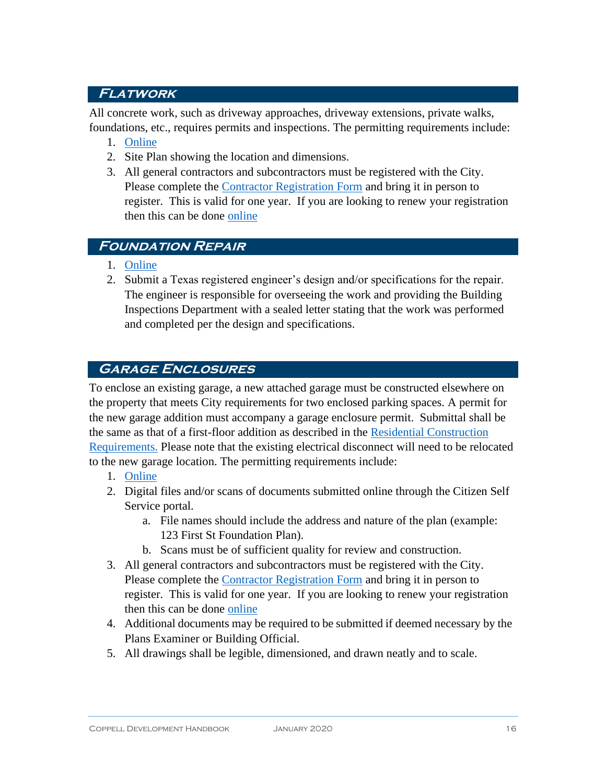## <span id="page-15-0"></span>**Flatwork**

All concrete work, such as driveway approaches, driveway extensions, private walks,

foundations, etc., requires permits and inspections. The permitting requirements include: 1. [Online](https://energovcss.coppelltx.gov/EnerGovProd/SelfService#/home)

- 2. Site Plan showing the location and dimensions.
- 3. All general contractors and subcontractors must be registered with the City. Please complete the [Contractor Registration Form](https://www.coppelltx.gov/DocumentCenter/View/317/Contractor-Registration-Form-PDF) and bring it in person to register. This is valid for one year. If you are looking to renew your registration then this can be done [online](https://energovcss.coppelltx.gov/EnerGovProd/SelfService#/home)

#### <span id="page-15-1"></span>**Foundation Repair**

- 1. [Online](https://energovcss.coppelltx.gov/EnerGovProd/SelfService#/home)
- 2. Submit a Texas registered engineer's design and/or specifications for the repair. The engineer is responsible for overseeing the work and providing the Building Inspections Department with a sealed letter stating that the work was performed and completed per the design and specifications.

#### <span id="page-15-2"></span>**Garage Enclosures**

To enclose an existing garage, a new attached garage must be constructed elsewhere on the property that meets City requirements for two enclosed parking spaces. A permit for the new garage addition must accompany a garage enclosure permit. Submittal shall be the same as that of a first-floor addition as described in the [Residential Construction](https://www.coppelltx.gov/DocumentCenter/View/1558/New-Residential-Permit-Requirements-PDF)  [Requirements.](https://www.coppelltx.gov/DocumentCenter/View/1558/New-Residential-Permit-Requirements-PDF) Please note that the existing electrical disconnect will need to be relocated to the new garage location. The permitting requirements include:

- 1. [Online](https://energovcss.coppelltx.gov/EnerGovProd/SelfService#/home)
- 2. Digital files and/or scans of documents submitted online through the Citizen Self Service portal.
	- a. File names should include the address and nature of the plan (example: 123 First St Foundation Plan).
	- b. Scans must be of sufficient quality for review and construction.
- 3. All general contractors and subcontractors must be registered with the City. Please complete the [Contractor Registration Form](https://www.coppelltx.gov/DocumentCenter/View/317/Contractor-Registration-Form-PDF) and bring it in person to register. This is valid for one year. If you are looking to renew your registration then this can be done [online](https://energovcss.coppelltx.gov/EnerGovProd/SelfService#/home)
- 4. Additional documents may be required to be submitted if deemed necessary by the Plans Examiner or Building Official.
- 5. All drawings shall be legible, dimensioned, and drawn neatly and to scale.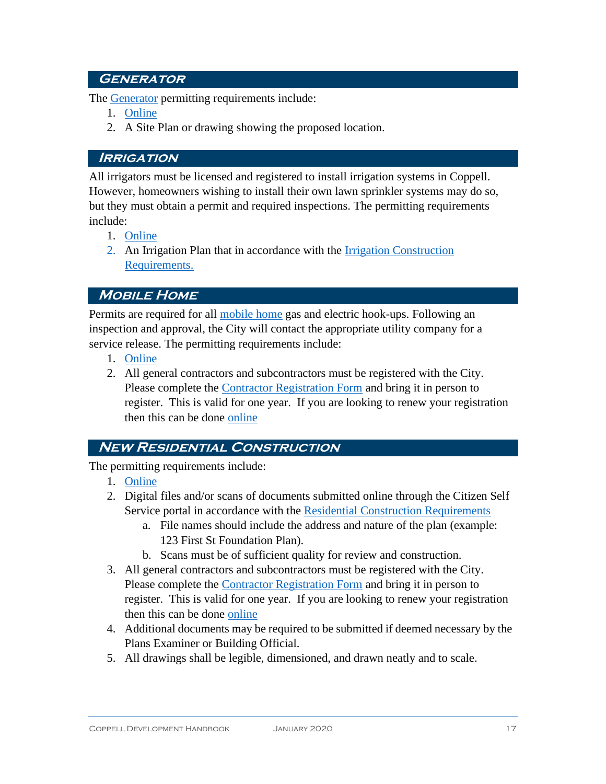#### <span id="page-16-0"></span>GENERATOR

The [Generator](https://www.coppelltx.gov/DocumentCenter/View/1555/Generator-Permit-Requirements-PDF) permitting requirements include:

- 1. [Online](https://energovcss.coppelltx.gov/EnerGovProd/SelfService#/home)
- 2. A Site Plan or drawing showing the proposed location.

#### <span id="page-16-1"></span>**IRRIGATION**

All irrigators must be licensed and registered to install irrigation systems in Coppell. However, homeowners wishing to install their own lawn sprinkler systems may do so, but they must obtain a permit and required inspections. The permitting requirements include:

- 1. [Online](https://energovcss.coppelltx.gov/EnerGovProd/SelfService#/home)
- 2. An Irrigation Plan that in accordance with the [Irrigation Construction](https://www.coppelltx.gov/DocumentCenter/View/1556/Irrigation-Permit-Requirements-PDF)  [Requirements.](https://www.coppelltx.gov/DocumentCenter/View/1556/Irrigation-Permit-Requirements-PDF)

#### <span id="page-16-2"></span>**Mobile Home**

Permits are required for all [mobile home](https://www.coppelltx.gov/DocumentCenter/View/1557/Mobile-Home-Permit-Requirements-PDF) gas and electric hook-ups. Following an inspection and approval, the City will contact the appropriate utility company for a service release. The permitting requirements include:

- 1. [Online](https://energovcss.coppelltx.gov/EnerGovProd/SelfService#/home)
- 2. All general contractors and subcontractors must be registered with the City. Please complete the [Contractor Registration Form](https://www.coppelltx.gov/DocumentCenter/View/317/Contractor-Registration-Form-PDF) and bring it in person to register. This is valid for one year. If you are looking to renew your registration then this can be done [online](https://energovcss.coppelltx.gov/EnerGovProd/SelfService#/home)

## <span id="page-16-3"></span>**New Residential Construction**

The permitting requirements include:

- 1. [Online](https://energovcss.coppelltx.gov/EnerGovProd/SelfService#/home)
- 2. Digital files and/or scans of documents submitted online through the Citizen Self Service portal in accordance with the [Residential Construction Requirements](https://www.coppelltx.gov/DocumentCenter/View/1558/New-Residential-Permit-Requirements-PDF)
	- a. File names should include the address and nature of the plan (example: 123 First St Foundation Plan).
	- b. Scans must be of sufficient quality for review and construction.
- 3. All general contractors and subcontractors must be registered with the City. Please complete the [Contractor Registration Form](https://www.coppelltx.gov/DocumentCenter/View/317/Contractor-Registration-Form-PDF) and bring it in person to register. This is valid for one year. If you are looking to renew your registration then this can be done [online](https://energovcss.coppelltx.gov/EnerGovProd/SelfService#/home)
- 4. Additional documents may be required to be submitted if deemed necessary by the Plans Examiner or Building Official.
- 5. All drawings shall be legible, dimensioned, and drawn neatly and to scale.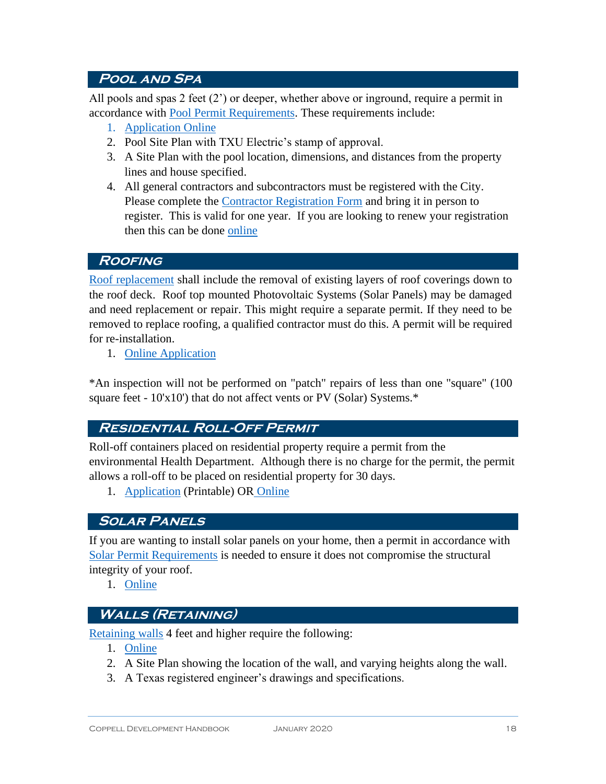#### <span id="page-17-0"></span>**Pool and Spa**

All pools and spas 2 feet (2') or deeper, whether above or inground, require a permit in accordance with [Pool Permit Requirements.](https://www.coppelltx.gov/DocumentCenter/View/1559/Pool-Permit-Requirements-PDF) These requirements include:

- 1. [Application Online](https://energovcss.coppelltx.gov/EnerGovProd/SelfService#/home)
- 2. Pool Site Plan with TXU Electric's stamp of approval.
- 3. A Site Plan with the pool location, dimensions, and distances from the property lines and house specified.
- 4. All general contractors and subcontractors must be registered with the City. Please complete the [Contractor Registration Form](https://www.coppelltx.gov/DocumentCenter/View/317/Contractor-Registration-Form-PDF) and bring it in person to register. This is valid for one year. If you are looking to renew your registration then this can be done [online](https://energovcss.coppelltx.gov/EnerGovProd/SelfService#/home)

#### <span id="page-17-1"></span>**Roofing**

[Roof replacement](https://www.coppelltx.gov/DocumentCenter/View/1713/Roof-Permit-Requirements) shall include the removal of existing layers of roof coverings down to the roof deck. Roof top mounted Photovoltaic Systems (Solar Panels) may be damaged and need replacement or repair. This might require a separate permit. If they need to be removed to replace roofing, a qualified contractor must do this. A permit will be required for re-installation.

1. [Online](https://energovcss.coppelltx.gov/EnerGovProd/SelfService#/home) Application

\*An inspection will not be performed on "patch" repairs of less than one "square" (100 square feet - 10'x10') that do not affect vents or PV (Solar) Systems.\*

## <span id="page-17-2"></span>**Residential Roll-Off Permit**

Roll-off containers placed on residential property require a permit from the environmental Health Department. Although there is no charge for the permit, the permit allows a roll-off to be placed on residential property for 30 days.

1. [Application](http://www.coppelltx.gov/Documents/Government/Engineering/Environmental%20Health/EH-roll-off%20permit.pdf) (Printable) OR [Online](https://energovcss.coppelltx.gov/EnerGovProd/SelfService#/home)

## <span id="page-17-3"></span>**Solar Panels**

If you are wanting to install solar panels on your home, then a permit in accordance with [Solar Permit Requirements](https://www.coppelltx.gov/DocumentCenter/View/1564/Solar-Panel-Permit-Requirements-PDF) is needed to ensure it does not compromise the structural integrity of your roof.

1. [Online](https://energovcss.coppelltx.gov/EnerGovProd/SelfService#/home)

## <span id="page-17-4"></span>**Walls (Retaining)**

[Retaining walls](https://www.coppelltx.gov/DocumentCenter/View/1562/Retaining-Wall-Permit-Requirements-PDF) 4 feet and higher require the following:

- 1. [Online](https://energovcss.coppelltx.gov/EnerGovProd/SelfService#/home)
- 2. A Site Plan showing the location of the wall, and varying heights along the wall.
- 3. A Texas registered engineer's drawings and specifications.